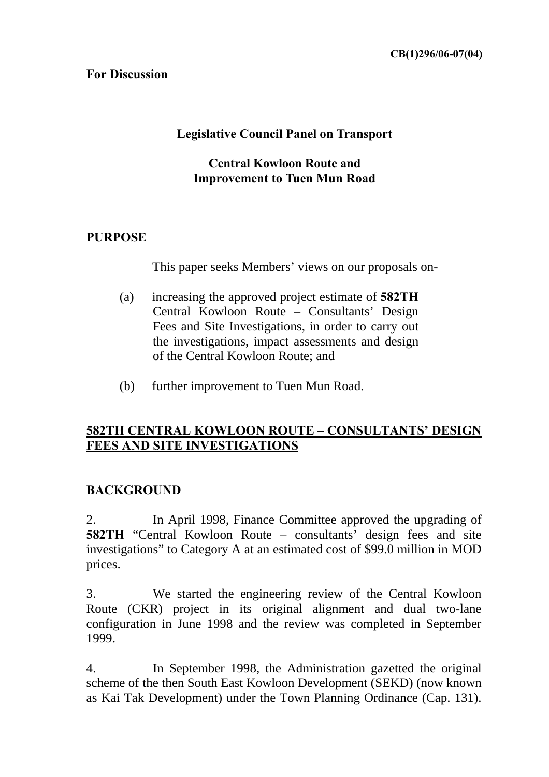### **For Discussion**

## **Legislative Council Panel on Transport**

### **Central Kowloon Route and Improvement to Tuen Mun Road**

## **PURPOSE**

This paper seeks Members' views on our proposals on-

- (a) increasing the approved project estimate of **582TH** Central Kowloon Route – Consultants' Design Fees and Site Investigations, in order to carry out the investigations, impact assessments and design of the Central Kowloon Route; and
- (b) further improvement to Tuen Mun Road.

## **582TH CENTRAL KOWLOON ROUTE – CONSULTANTS' DESIGN FEES AND SITE INVESTIGATIONS**

## **BACKGROUND**

2. In April 1998, Finance Committee approved the upgrading of **582TH** "Central Kowloon Route – consultants' design fees and site investigations" to Category A at an estimated cost of \$99.0 million in MOD prices.

3. We started the engineering review of the Central Kowloon Route (CKR) project in its original alignment and dual two-lane configuration in June 1998 and the review was completed in September 1999.

4. In September 1998, the Administration gazetted the original scheme of the then South East Kowloon Development (SEKD) (now known as Kai Tak Development) under the Town Planning Ordinance (Cap. 131).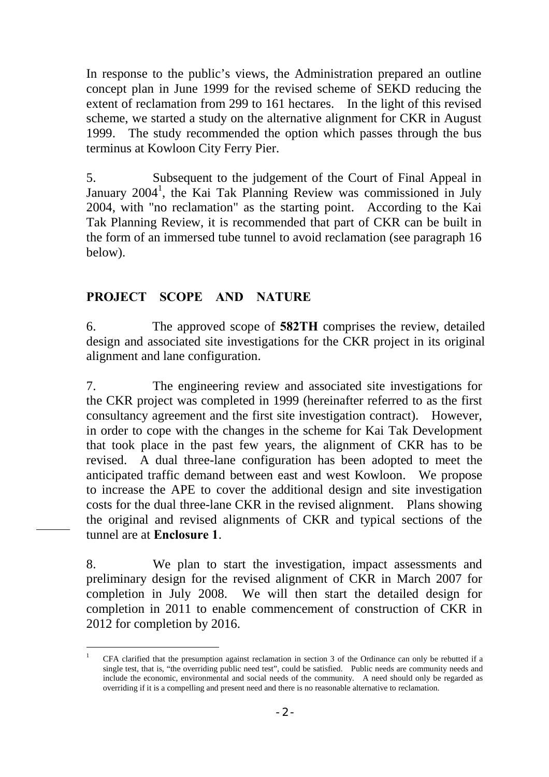In response to the public's views, the Administration prepared an outline concept plan in June 1999 for the revised scheme of SEKD reducing the extent of reclamation from 299 to 161 hectares. In the light of this revised scheme, we started a study on the alternative alignment for CKR in August 1999. The study recommended the option which passes through the bus terminus at Kowloon City Ferry Pier.

5. Subsequent to the judgement of the Court of Final Appeal in January 2004<sup>1</sup>[,](#page-1-0) the Kai Tak Planning Review was commissioned in July 2004, with "no reclamation" as the starting point. According to the Kai Tak Planning Review, it is recommended that part of CKR can be built in the form of an immersed tube tunnel to avoid reclamation (see paragraph 16 below).

## **PROJECT SCOPE AND NATURE**

6. The approved scope of **582TH** comprises the review, detailed design and associated site investigations for the CKR project in its original alignment and lane configuration.

7. The engineering review and associated site investigations for the CKR project was completed in 1999 (hereinafter referred to as the first consultancy agreement and the first site investigation contract). However, in order to cope with the changes in the scheme for Kai Tak Development that took place in the past few years, the alignment of CKR has to be revised. A dual three-lane configuration has been adopted to meet the anticipated traffic demand between east and west Kowloon. We propose to increase the APE to cover the additional design and site investigation costs for the dual three-lane CKR in the revised alignment. Plans showing the original and revised alignments of CKR and typical sections of the tunnel are at **Enclosure 1**.

8. We plan to start the investigation, impact assessments and preliminary design for the revised alignment of CKR in March 2007 for completion in July 2008. We will then start the detailed design for completion in 2011 to enable commencement of construction of CKR in 2012 for completion by 2016.

<span id="page-1-0"></span> <sup>1</sup> CFA clarified that the presumption against reclamation in section 3 of the Ordinance can only be rebutted if a single test, that is, "the overriding public need test", could be satisfied. Public needs are community needs and include the economic, environmental and social needs of the community. A need should only be regarded as overriding if it is a compelling and present need and there is no reasonable alternative to reclamation.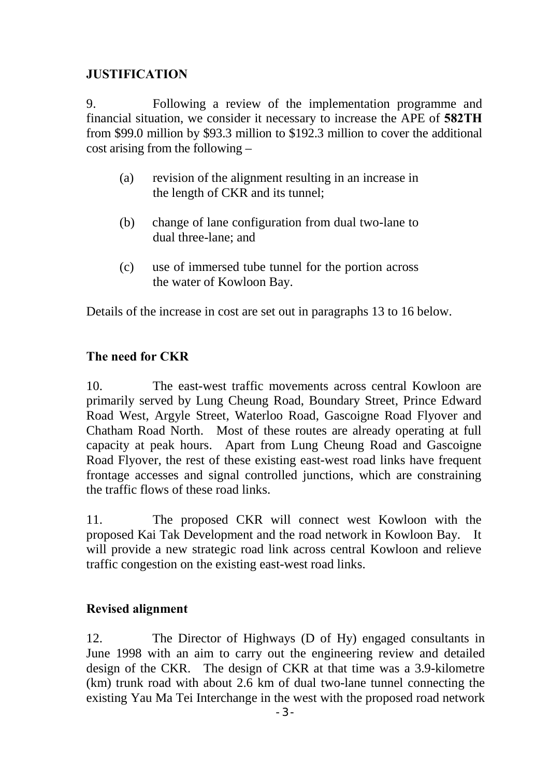## **JUSTIFICATION**

9. Following a review of the implementation programme and financial situation, we consider it necessary to increase the APE of **582TH** from \$99.0 million by \$93.3 million to \$192.3 million to cover the additional cost arising from the following –

- (a) revision of the alignment resulting in an increase in the length of CKR and its tunnel;
- (b) change of lane configuration from dual two-lane to dual three-lane; and
- (c) use of immersed tube tunnel for the portion across the water of Kowloon Bay.

Details of the increase in cost are set out in paragraphs 13 to 16 below.

## **The need for CKR**

10. The east-west traffic movements across central Kowloon are primarily served by Lung Cheung Road, Boundary Street, Prince Edward Road West, Argyle Street, Waterloo Road, Gascoigne Road Flyover and Chatham Road North. Most of these routes are already operating at full capacity at peak hours. Apart from Lung Cheung Road and Gascoigne Road Flyover, the rest of these existing east-west road links have frequent frontage accesses and signal controlled junctions, which are constraining the traffic flows of these road links.

11. The proposed CKR will connect west Kowloon with the proposed Kai Tak Development and the road network in Kowloon Bay. It will provide a new strategic road link across central Kowloon and relieve traffic congestion on the existing east-west road links.

## **Revised alignment**

12. The Director of Highways (D of Hy) engaged consultants in June 1998 with an aim to carry out the engineering review and detailed design of the CKR. The design of CKR at that time was a 3.9-kilometre (km) trunk road with about 2.6 km of dual two-lane tunnel connecting the existing Yau Ma Tei Interchange in the west with the proposed road network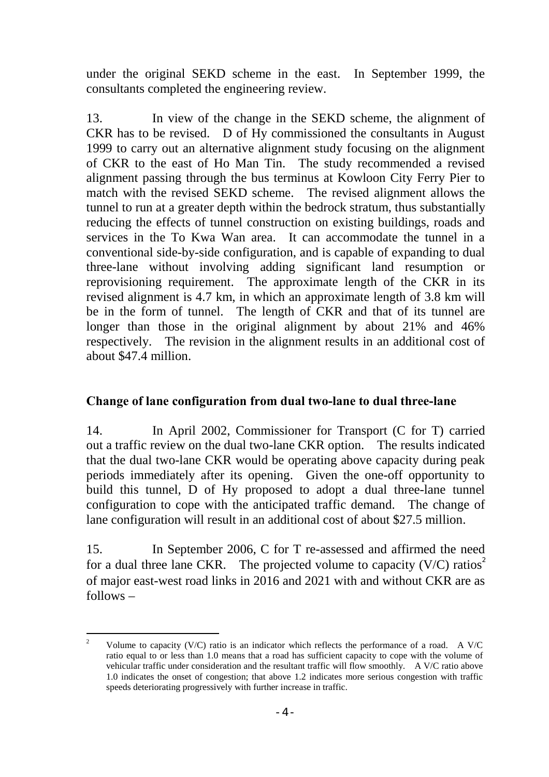under the original SEKD scheme in the east. In September 1999, the consultants completed the engineering review.

13. In view of the change in the SEKD scheme, the alignment of CKR has to be revised. D of Hy commissioned the consultants in August 1999 to carry out an alternative alignment study focusing on the alignment of CKR to the east of Ho Man Tin. The study recommended a revised alignment passing through the bus terminus at Kowloon City Ferry Pier to match with the revised SEKD scheme. The revised alignment allows the tunnel to run at a greater depth within the bedrock stratum, thus substantially reducing the effects of tunnel construction on existing buildings, roads and services in the To Kwa Wan area. It can accommodate the tunnel in a conventional side-by-side configuration, and is capable of expanding to dual three-lane without involving adding significant land resumption or reprovisioning requirement.The approximate length of the CKR in its revised alignment is 4.7 km, in which an approximate length of 3.8 km will be in the form of tunnel. The length of CKR and that of its tunnel are longer than those in the original alignment by about 21% and 46% respectively. The revision in the alignment results in an additional cost of about \$47.4 million.

### **Change of lane configuration from dual two-lane to dual three-lane**

14. In April 2002, Commissioner for Transport (C for T) carried out a traffic review on the dual two-lane CKR option. The results indicated that the dual two-lane CKR would be operating above capacity during peak periods immediately after its opening. Given the one-off opportunity to build this tunnel, D of Hy proposed to adopt a dual three-lane tunnel configuration to cope with the anticipated traffic demand. The change of lane configuration will result in an additional cost of about \$27.5 million.

15. In September 2006, C for T re-assessed and affirmed the need fora dual three lane CKR. The projected volume to capacity (V/C) ratios<sup>2</sup> of major east-west road links in 2016 and 2021 with and without CKR are as follows –

<span id="page-3-0"></span><sup>&</sup>lt;sup>2</sup> Volume to capacity (V/C) ratio is an indicator which reflects the performance of a road. A V/C ratio equal to or less than 1.0 means that a road has sufficient capacity to cope with the volume of vehicular traffic under consideration and the resultant traffic will flow smoothly. A V/C ratio above 1.0 indicates the onset of congestion; that above 1.2 indicates more serious congestion with traffic speeds deteriorating progressively with further increase in traffic.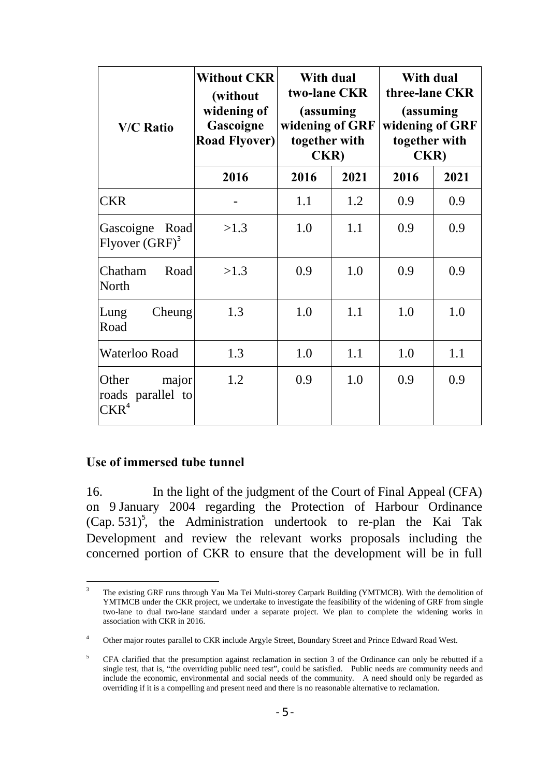| <b>V/C Ratio</b>                                        | <b>Without CKR</b><br>(without<br>widening of<br>Gascoigne<br><b>Road Flyover)</b> | With dual<br>two-lane CKR<br>(assuming)<br>widening of GRF<br>together with<br><b>CKR</b> ) |      | With dual<br>three-lane CKR<br>(assuming<br>widening of GRF<br>together with<br><b>CKR</b> ) |      |
|---------------------------------------------------------|------------------------------------------------------------------------------------|---------------------------------------------------------------------------------------------|------|----------------------------------------------------------------------------------------------|------|
|                                                         | 2016                                                                               | 2016                                                                                        | 2021 | 2016                                                                                         | 2021 |
| <b>CKR</b>                                              |                                                                                    | 1.1                                                                                         | 1.2  | 0.9                                                                                          | 0.9  |
| Gascoigne<br>Road<br>Flyover $(GRF)^3$                  | >1.3                                                                               | 1.0                                                                                         | 1.1  | 0.9                                                                                          | 0.9  |
| Chatham<br>Road<br><b>North</b>                         | >1.3                                                                               | 0.9                                                                                         | 1.0  | 0.9                                                                                          | 0.9  |
| Cheung<br>Lung<br>Road                                  | 1.3                                                                                | 1.0                                                                                         | 1.1  | 1.0                                                                                          | 1.0  |
| Waterloo Road                                           | 1.3                                                                                | 1.0                                                                                         | 1.1  | 1.0                                                                                          | 1.1  |
| Other<br>major<br>roads parallel to<br>CKR <sup>4</sup> | 1.2                                                                                | 0.9                                                                                         | 1.0  | 0.9                                                                                          | 0.9  |

### **Use of immersed tube tunnel**

16. In the light of the judgment of the Court of Final Appeal (CFA) on 9 January 2004 regarding the Protection of Harbour Ordinance (Cap. 531)<sup>5</sup>[,](#page-4-2) the Administration undertook to re-plan the Kai Tak Development and review the relevant works proposals including the concerned portion of CKR to ensure that the development will be in full

<span id="page-4-0"></span><sup>&</sup>lt;sup>3</sup> The existing GRF runs through Yau Ma Tei Multi-storey Carpark Building (YMTMCB). With the demolition of YMTMCB under the CKR project, we undertake to investigate the feasibility of the widening of GRF from single two-lane to dual two-lane standard under a separate project. We plan to complete the widening works in association with CKR in 2016.

<span id="page-4-1"></span><sup>&</sup>lt;sup>4</sup> Other major routes parallel to CKR include Argyle Street, Boundary Street and Prince Edward Road West.

<span id="page-4-2"></span><sup>&</sup>lt;sup>5</sup> CFA clarified that the presumption against reclamation in section 3 of the Ordinance can only be rebutted if a single test, that is, "the overriding public need test", could be satisfied. Public needs are community needs and include the economic, environmental and social needs of the community. A need should only be regarded as overriding if it is a compelling and present need and there is no reasonable alternative to reclamation.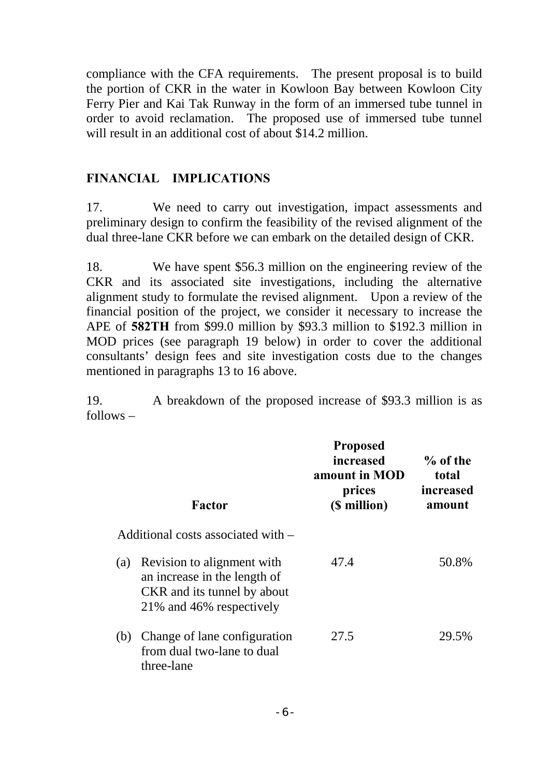compliance with the CFA requirements. The present proposal is to build the portion of CKR in the water in Kowloon Bay between Kowloon City Ferry Pier and Kai Tak Runway in the form of an immersed tube tunnel in order to avoid reclamation. The proposed use of immersed tube tunnel will result in an additional cost of about \$14.2 million.

#### **FINANCIAL IMPLICATIONS**

17. We need to carry out investigation, impact assessments and preliminary design to confirm the feasibility of the revised alignment of the dual three-lane CKR before we can embark on the detailed design of CKR.

18. We have spent \$56.3 million on the engineering review of the CKR and its associated site investigations, including the alternative alignment study to formulate the revised alignment. Upon a review of the financial position of the project, we consider it necessary to increase the APE of **582TH** from \$99.0 million by \$93.3 million to \$192.3 million in MOD prices (see paragraph 19 below) in order to cover the additional consultants' design fees and site investigation costs due to the changes mentioned in paragraphs 13 to 16 above.

19. A breakdown of the proposed increase of \$93.3 million is as follows –

|     | Factor                                                                                                                  | <b>Proposed</b><br>increased<br>amount in MOD<br>prices<br>(\$ million) | $\%$ of the<br>total<br><i>increased</i><br>amount |
|-----|-------------------------------------------------------------------------------------------------------------------------|-------------------------------------------------------------------------|----------------------------------------------------|
|     | Additional costs associated with –                                                                                      |                                                                         |                                                    |
|     |                                                                                                                         |                                                                         |                                                    |
| (a) | Revision to alignment with<br>an increase in the length of<br>CKR and its tunnel by about<br>21\% and 46\% respectively | 47.4                                                                    | 50.8%                                              |
| (b) | Change of lane configuration<br>from dual two-lane to dual<br>three-lane                                                | 27.5                                                                    | 29.5%                                              |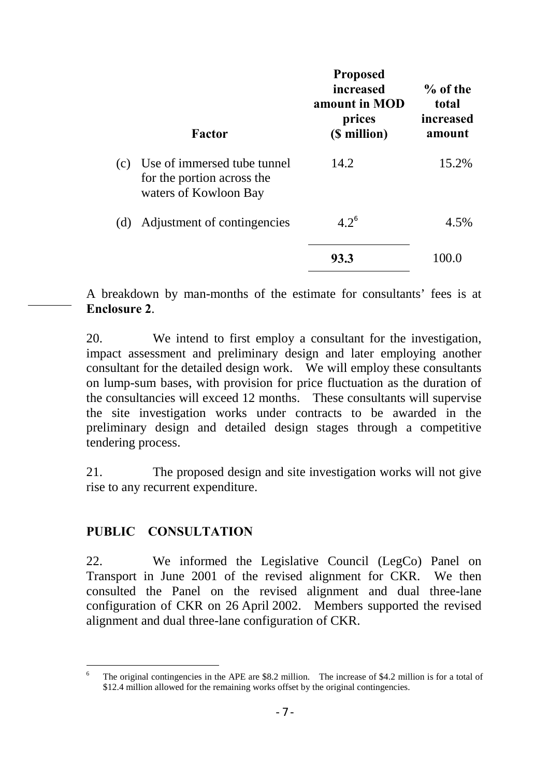|     | Factor                                                                             | <b>Proposed</b><br>increased<br>amount in MOD<br>prices<br>(\$ million) | $%$ of the<br>total<br>increased<br>amount |
|-----|------------------------------------------------------------------------------------|-------------------------------------------------------------------------|--------------------------------------------|
| (c) | Use of immersed tube tunnel<br>for the portion across the<br>waters of Kowloon Bay | 14.2                                                                    | 15.2%                                      |
| (d) | Adjustment of contingencies                                                        | $4.2^6$                                                                 | 4.5%                                       |
|     |                                                                                    | 93.3                                                                    | 10O C                                      |

A breakdown by man-months of the estimate for consultants' fees is at **Enclosure 2**.

20. We intend to first employ a consultant for the investigation, impact assessment and preliminary design and later employing another consultant for the detailed design work. We will employ these consultants on lump-sum bases, with provision for price fluctuation as the duration of the consultancies will exceed 12 months. These consultants will supervise the site investigation works under contracts to be awarded in the preliminary design and detailed design stages through a competitive tendering process.

21. The proposed design and site investigation works will not give rise to any recurrent expenditure.

### **PUBLIC CONSULTATION**

22. We informed the Legislative Council (LegCo) Panel on Transport in June 2001 of the revised alignment for CKR. We then consulted the Panel on the revised alignment and dual three-lane configuration of CKR on 26 April 2002. Members supported the revised alignment and dual three-lane configuration of CKR.

<span id="page-6-0"></span>The original contingencies in the APE are \$8.2 million. The increase of \$4.2 million is for a total of \$12.4 million allowed for the remaining works offset by the original contingencies.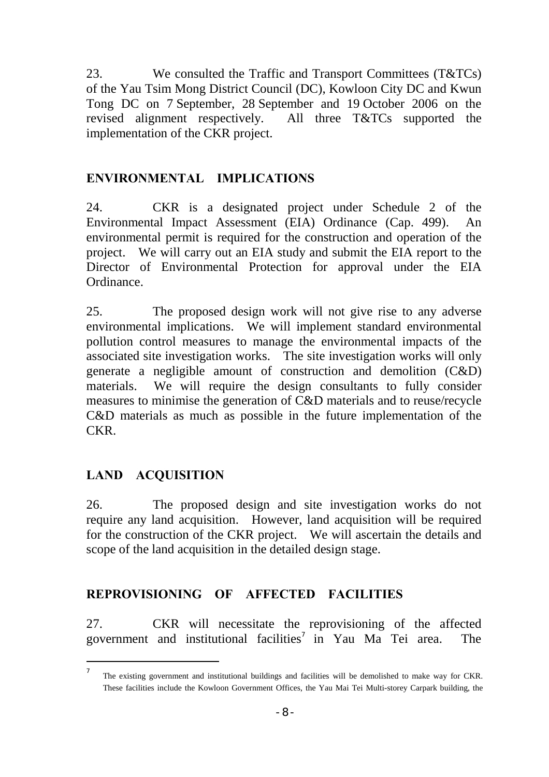<span id="page-7-0"></span>23. We consulted the Traffic and Transport Committees (T&TCs) of the Yau Tsim Mong District Council (DC), Kowloon City DC and Kwun Tong DC on 7 September, 28 September and 19 October 2006 on the revised alignment respectively. All three T&TCs supported the implementation of the CKR project.

### **ENVIRONMENTAL IMPLICATIONS**

24. CKR is a designated project under Schedule 2 of the Environmental Impact Assessment (EIA) Ordinance (Cap. 499). An environmental permit is required for the construction and operation of the project. We will carry out an EIA study and submit the EIA report to the Director of Environmental Protection for approval under the EIA Ordinance.

25. The proposed design work will not give rise to any adverse environmental implications. We will implement standard environmental pollution control measures to manage the environmental impacts of the associated site investigation works. The site investigation works will only generate a negligible amount of construction and demolition (C&D) materials. We will require the design consultants to fully consider measures to minimise the generation of C&D materials and to reuse/recycle C&D materials as much as possible in the future implementation of the CKR.

## **LAND ACQUISITION**

l

26. The proposed design and site investigation works do not require any land acquisition. However, land acquisition will be required for the construction of the CKR project. We will ascertain the details and scope of the land acquisition in the detailed design stage.

## **REPROVISIONING OF AFFECTED FACILITIES**

27. CKR will necessitate the reprovisioning of the affected governmentand institutional facilities<sup>7</sup> in Yau Ma Tei area. The

<sup>7</sup> The existing government and institutional buildings and facilities will be demolished to make way for CKR. These facilities include the Kowloon Government Offices, the Yau Mai Tei Multi-storey Carpark building, the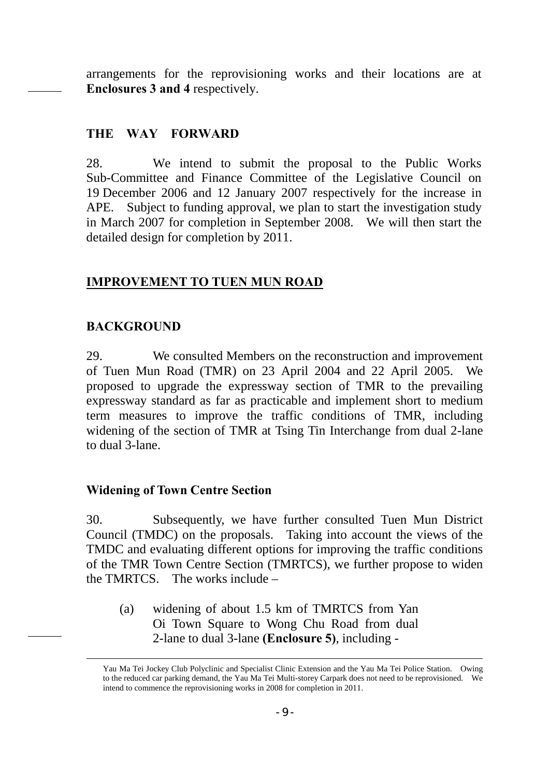arrangements for the reprovisioning works and their locations are at **Enclosures 3 and 4** respectively.

#### **THE WAY FORWARD**

28. We intend to submit the proposal to the Public Works Sub-Committee and Finance Committee of the Legislative Council on 19 December 2006 and 12 January 2007 respectively for the increase in APE. Subject to funding approval, we plan to start the investigation study in March 2007 for completion in September 2008. We will then start the detailed design for completion by 2011.

#### **IMPROVEMENT TO TUEN MUN ROAD**

#### **BACKGROUND**

29. We consulted Members on the reconstruction and improvement of Tuen Mun Road (TMR) on 23 April 2004 and 22 April 2005. We proposed to upgrade the expressway section of TMR to the prevailing expressway standard as far as practicable and implement short to medium term measures to improve the traffic conditions of TMR, including widening of the section of TMR at Tsing Tin Interchange from dual 2-lane to dual 3-lane.

#### **Widening of Town Centre Section**

30. Subsequently, we have further consulted Tuen Mun District Council (TMDC) on the proposals. Taking into account the views of the TMDC and evaluating different options for improving the traffic conditions of the TMR Town Centre Section (TMRTCS), we further propose to widen the TMRTCS. The works include –

(a) widening of about 1.5 km of TMRTCS from Yan Oi Town Square to Wong Chu Road from dual 2-lane to dual 3-lane **(Enclosure 5)**, including -

Yau Ma Tei Jockey Club Polyclinic and Specialist Clinic Extension and the Yau Ma Tei Police Station. Owing to the reduced car parking demand, the Yau Ma Tei Multi-storey Carpark does not need to be reprovisioned. We intend to commence the reprovisioning works in 2008 for completion in 2011.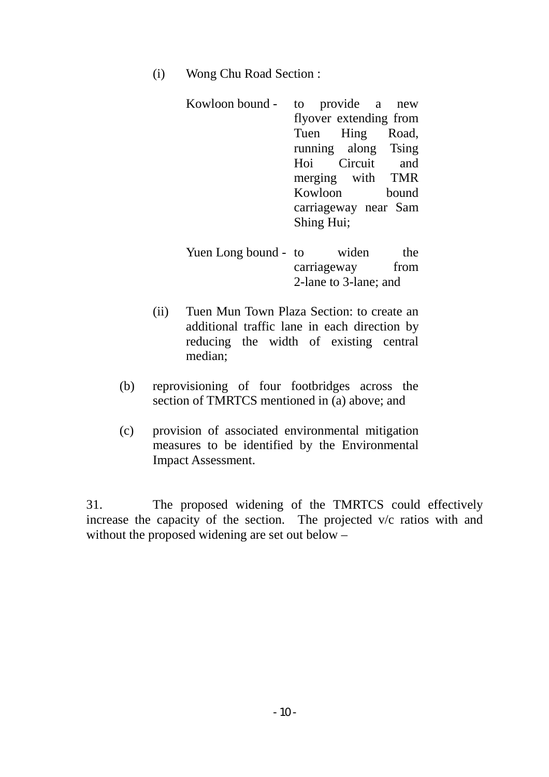(i) Wong Chu Road Section :

| Kowloon bound - | to provide a new       |
|-----------------|------------------------|
|                 | flyover extending from |
|                 | Tuen Hing Road,        |
|                 | running along Tsing    |
|                 | Hoi Circuit and        |
|                 | merging with TMR       |
|                 | Kowloon bound          |
|                 | carriageway near Sam   |
|                 | Shing Hui;             |

- Yuen Long bound to widen the carriageway from 2-lane to 3-lane; and
- (ii) Tuen Mun Town Plaza Section: to create an additional traffic lane in each direction by reducing the width of existing central median;
- (b) reprovisioning of four footbridges across the section of TMRTCS mentioned in (a) above; and
- (c) provision of associated environmental mitigation measures to be identified by the Environmental Impact Assessment.

31. The proposed widening of the TMRTCS could effectively increase the capacity of the section. The projected v/c ratios with and without the proposed widening are set out below –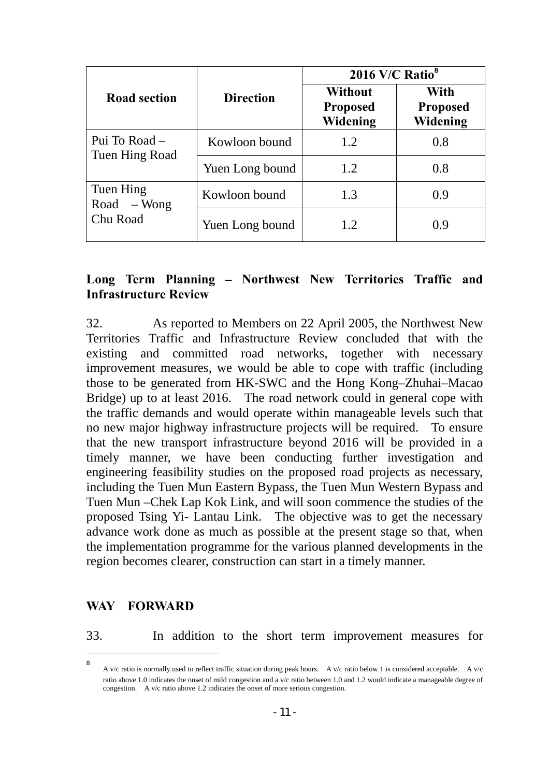|                                 |                  | 2016 V/C Ratio <sup>8</sup>                   |                                     |  |
|---------------------------------|------------------|-----------------------------------------------|-------------------------------------|--|
| <b>Road section</b>             | <b>Direction</b> | <b>Without</b><br><b>Proposed</b><br>Widening | With<br><b>Proposed</b><br>Widening |  |
| Pui To Road –<br>Tuen Hing Road | Kowloon bound    | 1.2                                           | 0.8                                 |  |
|                                 | Yuen Long bound  | 1.2                                           | 0.8                                 |  |
| Tuen Hing<br>$Road - Wong$      | Kowloon bound    | 1.3                                           | 0.9                                 |  |
| Chu Road                        | Yuen Long bound  | 1.2                                           | 0.9                                 |  |

#### **Long Term Planning – Northwest New Territories Traffic and Infrastructure Review**

32. As reported to Members on 22 April 2005, the Northwest New Territories Traffic and Infrastructure Review concluded that with the existing and committed road networks, together with necessary improvement measures, we would be able to cope with traffic (including those to be generated from HK-SWC and the Hong Kong–Zhuhai–Macao Bridge) up to at least 2016. The road network could in general cope with the traffic demands and would operate within manageable levels such that no new major highway infrastructure projects will be required. To ensure that the new transport infrastructure beyond 2016 will be provided in a timely manner, we have been conducting further investigation and engineering feasibility studies on the proposed road projects as necessary, including the Tuen Mun Eastern Bypass, the Tuen Mun Western Bypass and Tuen Mun –Chek Lap Kok Link, and will soon commence the studies of the proposed Tsing Yi- Lantau Link. The objective was to get the necessary advance work done as much as possible at the present stage so that, when the implementation programme for the various planned developments in the region becomes clearer, construction can start in a timely manner.

#### **WAY FORWARD**

 $\overline{a}$ 

33. In addition to the short term improvement measures for

<span id="page-10-0"></span><sup>8</sup> A v/c ratio is normally used to reflect traffic situation during peak hours. A v/c ratio below 1 is considered acceptable. A v/c ratio above 1.0 indicates the onset of mild congestion and a v/c ratio between 1.0 and 1.2 would indicate a manageable degree of congestion. A v/c ratio above 1.2 indicates the onset of more serious congestion.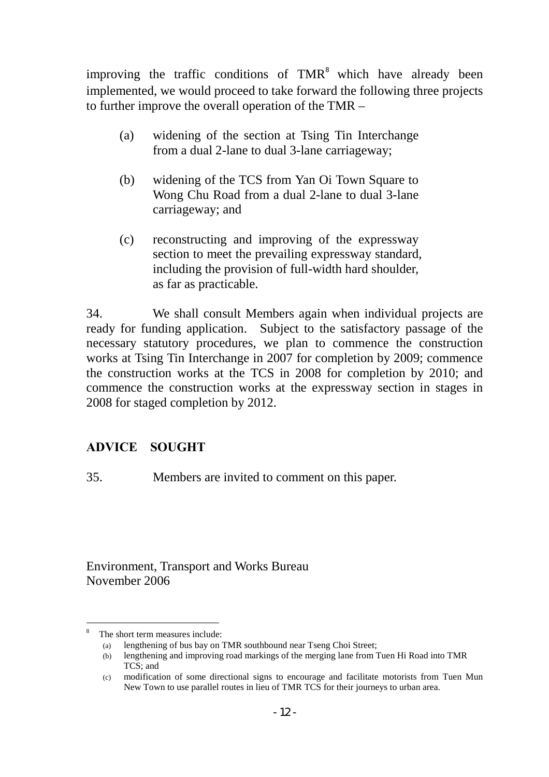improvingthe traffic conditions of TMR<sup>8</sup> which have already been implemented, we would proceed to take forward the following three projects to further improve the overall operation of the TMR –

- (a) widening of the section at Tsing Tin Interchange from a dual 2-lane to dual 3-lane carriageway;
- (b) widening of the TCS from Yan Oi Town Square to Wong Chu Road from a dual 2-lane to dual 3-lane carriageway; and
- (c) reconstructing and improving of the expressway section to meet the prevailing expressway standard, including the provision of full-width hard shoulder, as far as practicable.

34. We shall consult Members again when individual projects are ready for funding application. Subject to the satisfactory passage of the necessary statutory procedures, we plan to commence the construction works at Tsing Tin Interchange in 2007 for completion by 2009; commence the construction works at the TCS in 2008 for completion by 2010; and commence the construction works at the expressway section in stages in 2008 for staged completion by 2012.

# **ADVICE SOUGHT**

35. Members are invited to comment on this paper.

Environment, Transport and Works Bureau November 2006

l

<span id="page-11-0"></span><sup>8</sup> The short term measures include:

<sup>(</sup>a) lengthening of bus bay on TMR southbound near Tseng Choi Street;

<sup>(</sup>b) lengthening and improving road markings of the merging lane from Tuen Hi Road into TMR TCS; and

<sup>(</sup>c) modification of some directional signs to encourage and facilitate motorists from Tuen Mun New Town to use parallel routes in lieu of TMR TCS for their journeys to urban area.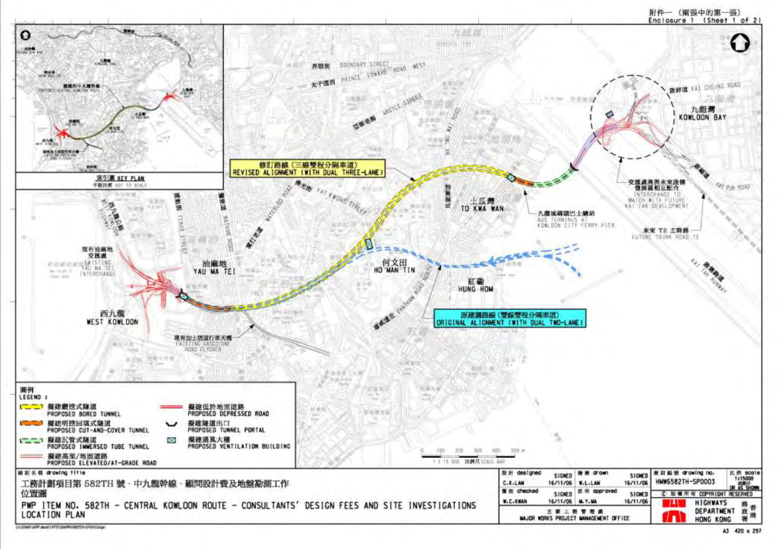

A3 420 x 297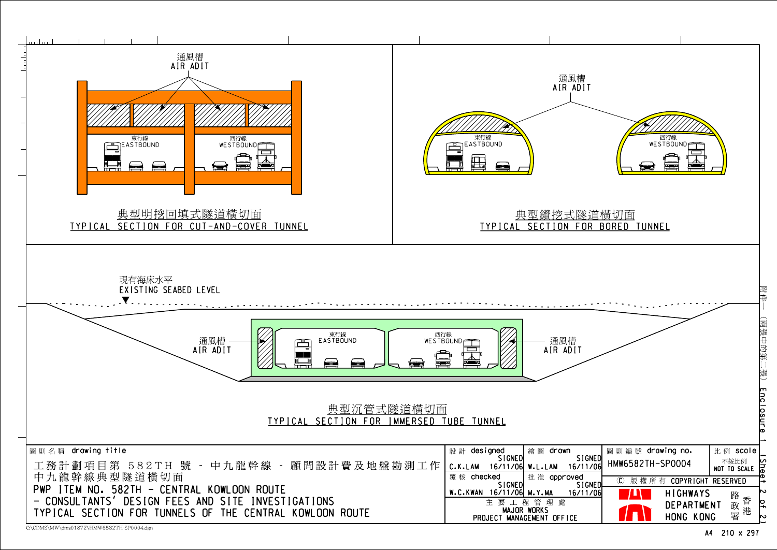

C:\CDMS\MW\dms01872\HMW6582TH-SP0004.dgn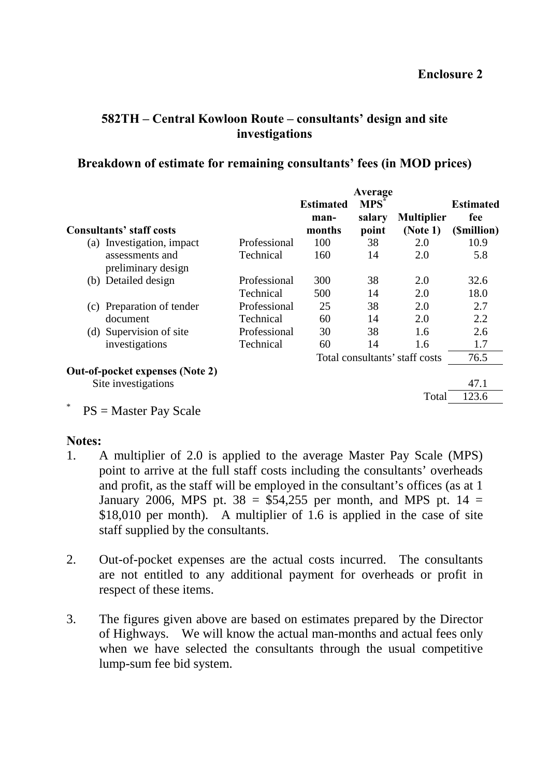### <span id="page-14-0"></span>**582TH – Central Kowloon Route – consultants' design and site investigations**

#### **Breakdown of estimate for remaining consultants' fees (in MOD prices)**

|        |                                       |              |                  | Average    |                                |                  |
|--------|---------------------------------------|--------------|------------------|------------|--------------------------------|------------------|
|        |                                       |              | <b>Estimated</b> | <b>MPS</b> |                                | <b>Estimated</b> |
|        |                                       |              | man-             | salary     | <b>Multiplier</b>              | fee              |
|        | Consultants' staff costs              |              | months           | point      | (Note 1)                       | (Smillion)       |
| (a)    | Investigation, impact                 | Professional | 100              | 38         | 2.0                            | 10.9             |
|        | assessments and<br>preliminary design | Technical    | 160              | 14         | 2.0                            | 5.8              |
|        | (b) Detailed design                   | Professional | 300              | 38         | 2.0                            | 32.6             |
|        |                                       | Technical    | 500              | 14         | 2.0                            | 18.0             |
| (C)    | Preparation of tender                 | Professional | 25               | 38         | 2.0                            | 2.7              |
|        | document                              | Technical    | 60               | 14         | 2.0                            | 2.2              |
|        | (d) Supervision of site               | Professional | 30               | 38         | 1.6                            | 2.6              |
|        | investigations                        | Technical    | 60               | 14         | 1.6                            | 1.7              |
|        |                                       |              |                  |            | Total consultants' staff costs | 76.5             |
|        | Out-of-pocket expenses (Note 2)       |              |                  |            |                                |                  |
|        | Site investigations                   |              |                  |            |                                | 47.1             |
| $\ast$ |                                       |              |                  |            | Total                          | 123.6            |

 $PS = Master Pay Scale$ 

#### **Notes:**

- 1. A multiplier of 2.0 is applied to the average Master Pay Scale (MPS) point to arrive at the full staff costs including the consultants' overheads and profit, as the staff will be employed in the consultant's offices (as at 1 January 2006, MPS pt.  $38 = $54,255$  per month, and MPS pt.  $14 =$ \$18,010 per month). A multiplier of 1.6 is applied in the case of site staff supplied by the consultants.
- 2. Out-of-pocket expenses are the actual costs incurred. The consultants are not entitled to any additional payment for overheads or profit in respect of these items.
- 3. The figures given above are based on estimates prepared by the Director of Highways. We will know the actual man-months and actual fees only when we have selected the consultants through the usual competitive lump-sum fee bid system.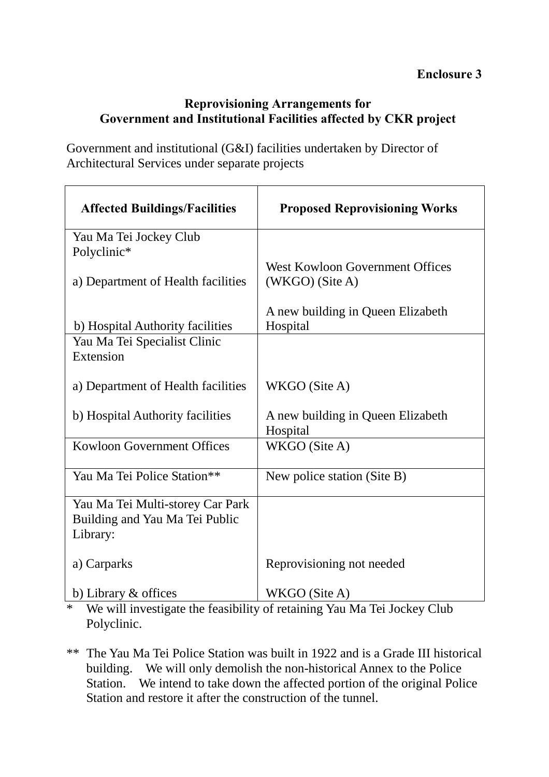## **Reprovisioning Arrangements for Government and Institutional Facilities affected by CKR project**

Government and institutional (G&I) facilities undertaken by Director of Architectural Services under separate projects

| <b>Affected Buildings/Facilities</b>                                           | <b>Proposed Reprovisioning Works</b>                        |
|--------------------------------------------------------------------------------|-------------------------------------------------------------|
| Yau Ma Tei Jockey Club<br>Polyclinic*                                          |                                                             |
| a) Department of Health facilities                                             | <b>West Kowloon Government Offices</b><br>$(WKGO)$ (Site A) |
| b) Hospital Authority facilities                                               | A new building in Queen Elizabeth<br>Hospital               |
| Yau Ma Tei Specialist Clinic<br>Extension                                      |                                                             |
| a) Department of Health facilities                                             | WKGO (Site A)                                               |
| b) Hospital Authority facilities                                               | A new building in Queen Elizabeth<br>Hospital               |
| <b>Kowloon Government Offices</b>                                              | WKGO (Site A)                                               |
| Yau Ma Tei Police Station**                                                    | New police station (Site B)                                 |
| Yau Ma Tei Multi-storey Car Park<br>Building and Yau Ma Tei Public<br>Library: |                                                             |
| a) Carparks                                                                    | Reprovisioning not needed                                   |
| b) Library $\&$ offices                                                        | WKGO (Site A)                                               |

\* We will investigate the feasibility of retaining Yau Ma Tei Jockey Club Polyclinic.

\*\* The Yau Ma Tei Police Station was built in 1922 and is a Grade III historical building. We will only demolish the non-historical Annex to the Police Station. We intend to take down the affected portion of the original Police Station and restore it after the construction of the tunnel.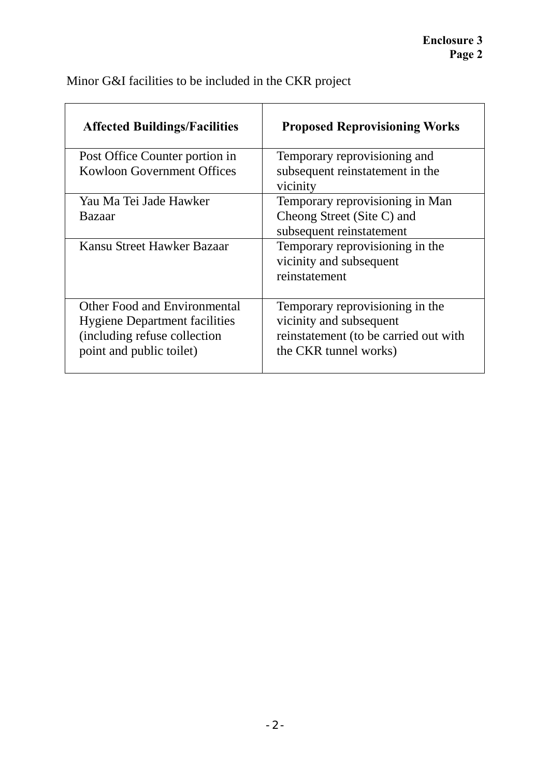| <b>Affected Buildings/Facilities</b> | <b>Proposed Reprovisioning Works</b>  |
|--------------------------------------|---------------------------------------|
| Post Office Counter portion in       | Temporary reprovisioning and          |
| Kowloon Government Offices           | subsequent reinstatement in the       |
|                                      | vicinity                              |
| Yau Ma Tei Jade Hawker               | Temporary reprovisioning in Man       |
| <b>Bazaar</b>                        | Cheong Street (Site C) and            |
|                                      | subsequent reinstatement              |
| Kansu Street Hawker Bazaar           | Temporary reprovisioning in the       |
|                                      | vicinity and subsequent               |
|                                      | reinstatement                         |
|                                      |                                       |
| Other Food and Environmental         | Temporary reprovisioning in the       |
| <b>Hygiene Department facilities</b> | vicinity and subsequent               |
| (including refuse collection)        | reinstatement (to be carried out with |
| point and public toilet)             | the CKR tunnel works)                 |
|                                      |                                       |

Minor G&I facilities to be included in the CKR project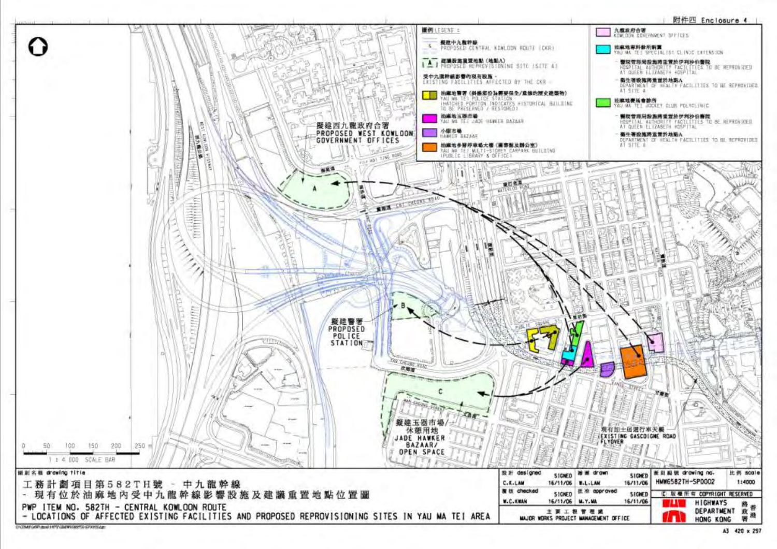